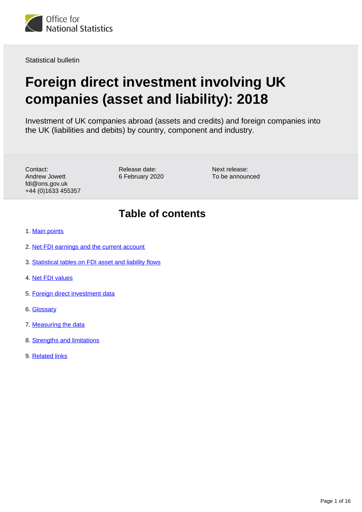<span id="page-0-0"></span>

Statistical bulletin

# **Foreign direct investment involving UK companies (asset and liability): 2018**

Investment of UK companies abroad (assets and credits) and foreign companies into the UK (liabilities and debits) by country, component and industry.

Contact: Andrew Jowett fdi@ons.gov.uk +44 (0)1633 455357 Release date: 6 February 2020 Next release: To be announced

## **Table of contents**

- 1. [Main points](#page-1-0)
- 2. [Net FDI earnings and the current account](#page-1-1)
- 3. [Statistical tables on FDI asset and liability flows](#page-6-0)
- 4. [Net FDI values](#page-8-0)
- 5. [Foreign direct investment data](#page-10-0)
- 6. [Glossary](#page-10-1)
- 7. [Measuring the data](#page-11-0)
- 8. [Strengths and limitations](#page-14-0)
- 9. [Related links](#page-15-0)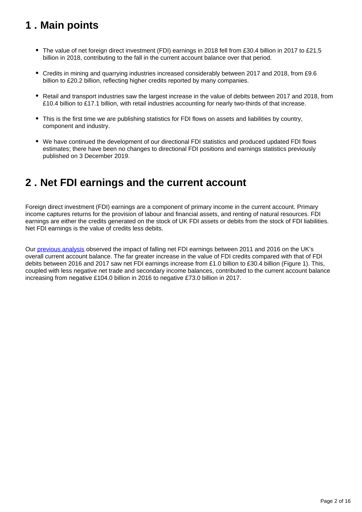## <span id="page-1-0"></span>**1 . Main points**

- The value of net foreign direct investment (FDI) earnings in 2018 fell from £30.4 billion in 2017 to £21.5 billion in 2018, contributing to the fall in the current account balance over that period.
- Credits in mining and quarrying industries increased considerably between 2017 and 2018, from £9.6 billion to £20.2 billion, reflecting higher credits reported by many companies.
- Retail and transport industries saw the largest increase in the value of debits between 2017 and 2018, from £10.4 billion to £17.1 billion, with retail industries accounting for nearly two-thirds of that increase.
- This is the first time we are publishing statistics for FDI flows on assets and liabilities by country, component and industry.
- We have continued the development of our directional FDI statistics and produced updated FDI flows estimates; there have been no changes to directional FDI positions and earnings statistics previously published on 3 December 2019.

## <span id="page-1-1"></span>**2 . Net FDI earnings and the current account**

Foreign direct investment (FDI) earnings are a component of primary income in the current account. Primary income captures returns for the provision of labour and financial assets, and renting of natural resources. FDI earnings are either the credits generated on the stock of UK FDI assets or debits from the stock of FDI liabilities. Net FDI earnings is the value of credits less debits.

Our [previous analysis](https://www.ons.gov.uk/economy/nationalaccounts/balanceofpayments/articles/ukforeigndirectinvestmenttrendsandanalysis/january2018) observed the impact of falling net FDI earnings between 2011 and 2016 on the UK's overall current account balance. The far greater increase in the value of FDI credits compared with that of FDI debits between 2016 and 2017 saw net FDI earnings increase from £1.0 billion to £30.4 billion (Figure 1). This, coupled with less negative net trade and secondary income balances, contributed to the current account balance increasing from negative £104.0 billion in 2016 to negative £73.0 billion in 2017.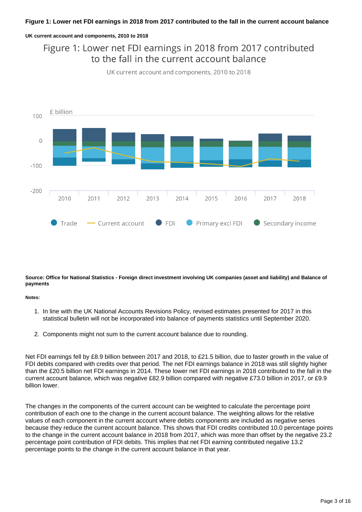#### **Figure 1: Lower net FDI earnings in 2018 from 2017 contributed to the fall in the current account balance**

#### **UK current account and components, 2010 to 2018**

Figure 1: Lower net FDI earnings in 2018 from 2017 contributed to the fall in the current account balance





#### **Source: Office for National Statistics - Foreign direct investment involving UK companies (asset and liability) and Balance of payments**

#### **Notes:**

- 1. In line with the UK National Accounts Revisions Policy, revised estimates presented for 2017 in this statistical bulletin will not be incorporated into balance of payments statistics until September 2020.
- 2. Components might not sum to the current account balance due to rounding.

Net FDI earnings fell by £8.9 billion between 2017 and 2018, to £21.5 billion, due to faster growth in the value of FDI debits compared with credits over that period. The net FDI earnings balance in 2018 was still slightly higher than the £20.5 billion net FDI earnings in 2014. These lower net FDI earnings in 2018 contributed to the fall in the current account balance, which was negative £82.9 billion compared with negative £73.0 billion in 2017, or £9.9 billion lower.

The changes in the components of the current account can be weighted to calculate the percentage point contribution of each one to the change in the current account balance. The weighting allows for the relative values of each component in the current account where debits components are included as negative series because they reduce the current account balance. This shows that FDI credits contributed 10.0 percentage points to the change in the current account balance in 2018 from 2017, which was more than offset by the negative 23.2 percentage point contribution of FDI debits. This implies that net FDI earning contributed negative 13.2 percentage points to the change in the current account balance in that year.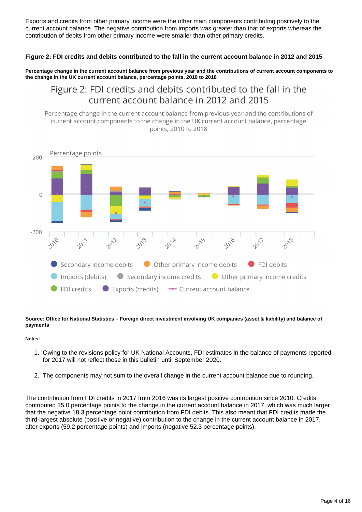Exports and credits from other primary income were the other main components contributing positively to the current account balance. The negative contribution from imports was greater than that of exports whereas the contribution of debits from other primary income were smaller than other primary credits.

#### **Figure 2: FDI credits and debits contributed to the fall in the current account balance in 2012 and 2015**

**Percentage change in the current account balance from previous year and the contributions of current account components to the change in the UK current account balance, percentage points, 2010 to 2018**

## Figure 2: FDI credits and debits contributed to the fall in the current account balance in 2012 and 2015

Percentage change in the current account balance from previous year and the contributions of current account components to the change in the UK current account balance, percentage points, 2010 to 2018



**Source: Office for National Statistics – Foreign direct investment involving UK companies (asset & liability) and balance of payments**

#### **Notes:**

- 1. Owing to the revisions policy for UK National Accounts, FDI estimates in the balance of payments reported for 2017 will not reflect those in this bulletin until September 2020.
- 2. The components may not sum to the overall change in the current account balance due to rounding.

The contribution from FDI credits in 2017 from 2016 was its largest positive contribution since 2010. Credits contributed 35.0 percentage points to the change in the current account balance in 2017, which was much larger that the negative 18.3 percentage point contribution from FDI debits. This also meant that FDI credits made the third-largest absolute (positive or negative) contribution to the change in the current account balance in 2017, after exports (59.2 percentage points) and imports (negative 52.3 percentage points).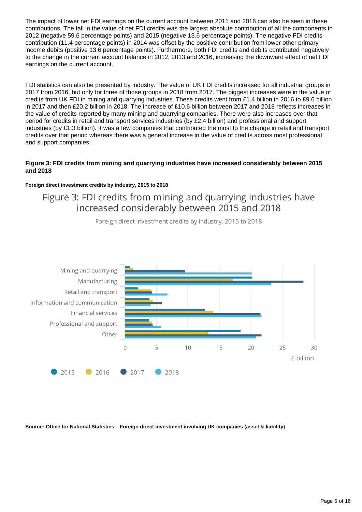The impact of lower net FDI earnings on the current account between 2011 and 2016 can also be seen in these contributions. The fall in the value of net FDI credits was the largest absolute contribution of all the components in 2012 (negative 59.6 percentage points) and 2015 (negative 13.6 percentage points). The negative FDI credits contribution (11.4 percentage points) in 2014 was offset by the positive contribution from lower other primary income debits (positive 13.6 percentage points). Furthermore, both FDI credits and debits contributed negatively to the change in the current account balance in 2012, 2013 and 2016, increasing the downward effect of net FDI earnings on the current account.

FDI statistics can also be presented by industry. The value of UK FDI credits increased for all industrial groups in 2017 from 2016, but only for three of those groups in 2018 from 2017. The biggest increases were in the value of credits from UK FDI in mining and quarrying industries. These credits went from £1.4 billion in 2016 to £9.6 billion in 2017 and then £20.2 billion in 2018. The increase of £10.6 billion between 2017 and 2018 reflects increases in the value of credits reported by many mining and quarrying companies. There were also increases over that period for credits in retail and transport services industries (by £2.4 billion) and professional and support industries (by £1.3 billion). It was a few companies that contributed the most to the change in retail and transport credits over that period whereas there was a general increase in the value of credits across most professional and support companies.

#### **Figure 3: FDI credits from mining and quarrying industries have increased considerably between 2015 and 2018**

#### **Foreign direct investment credits by industry, 2015 to 2018**

Figure 3: FDI credits from mining and quarrying industries have increased considerably between 2015 and 2018



Foreign direct investment credits by industry, 2015 to 2018

**Source: Office for National Statistics – Foreign direct investment involving UK companies (asset & liability)**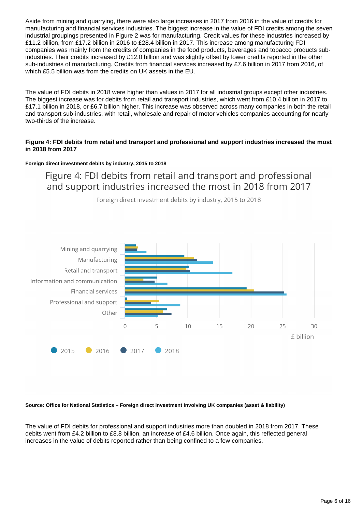Aside from mining and quarrying, there were also large increases in 2017 from 2016 in the value of credits for manufacturing and financial services industries. The biggest increase in the value of FDI credits among the seven industrial groupings presented in Figure 2 was for manufacturing. Credit values for these industries increased by £11.2 billion, from £17.2 billion in 2016 to £28.4 billion in 2017. This increase among manufacturing FDI companies was mainly from the credits of companies in the food products, beverages and tobacco products subindustries. Their credits increased by £12.0 billion and was slightly offset by lower credits reported in the other sub-industries of manufacturing. Credits from financial services increased by £7.6 billion in 2017 from 2016, of which £5.5 billion was from the credits on UK assets in the EU.

The value of FDI debits in 2018 were higher than values in 2017 for all industrial groups except other industries. The biggest increase was for debits from retail and transport industries, which went from £10.4 billion in 2017 to £17.1 billion in 2018, or £6.7 billion higher. This increase was observed across many companies in both the retail and transport sub-industries, with retail, wholesale and repair of motor vehicles companies accounting for nearly two-thirds of the increase.

#### **Figure 4: FDI debits from retail and transport and professional and support industries increased the most in 2018 from 2017**

#### **Foreign direct investment debits by industry, 2015 to 2018**

Figure 4: FDI debits from retail and transport and professional and support industries increased the most in 2018 from 2017



Foreign direct investment debits by industry, 2015 to 2018

#### **Source: Office for National Statistics – Foreign direct investment involving UK companies (asset & liability)**

The value of FDI debits for professional and support industries more than doubled in 2018 from 2017. These debits went from £4.2 billion to £8.8 billion, an increase of £4.6 billion. Once again, this reflected general increases in the value of debits reported rather than being confined to a few companies.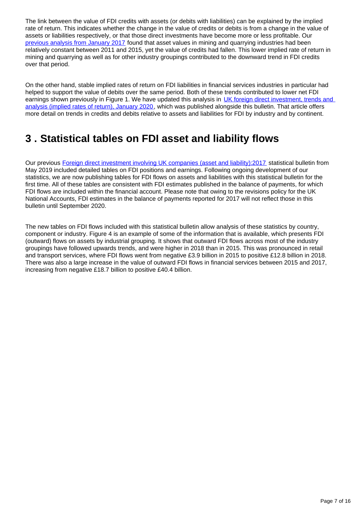The link between the value of FDI credits with assets (or debits with liabilities) can be explained by the implied rate of return. This indicates whether the change in the value of credits or debits is from a change in the value of assets or liabilities respectively, or that those direct investments have become more or less profitable. Our [previous analysis from January 2017](https://www.ons.gov.uk/economy/nationalaccounts/balanceofpayments/articles/areviewofukforeigndirectinvestmentstatistics/winter2017) found that asset values in mining and quarrying industries had been relatively constant between 2011 and 2015, yet the value of credits had fallen. This lower implied rate of return in mining and quarrying as well as for other industry groupings contributed to the downward trend in FDI credits over that period.

On the other hand, stable implied rates of return on FDI liabilities in financial services industries in particular had helped to support the value of debits over the same period. Both of these trends contributed to lower net FDI earnings shown previously in Figure 1. We have updated this analysis in UK foreign direct investment, trends and [analysis \(implied rates of return\), January 2020,](https://www.ons.gov.uk/releases/ukforeigndirectinvestmenttrendsandanalysisimpliedratesofreturnfebruary2020) which was published alongside this bulletin. That article offers more detail on trends in credits and debits relative to assets and liabilities for FDI by industry and by continent.

## <span id="page-6-0"></span>**3 . Statistical tables on FDI asset and liability flows**

Our previous Foreign direct investment involving UK companies (asset and liability): 2017 statistical bulletin from May 2019 included detailed tables on FDI positions and earnings. Following ongoing development of our statistics, we are now publishing tables for FDI flows on assets and liabilities with this statistical bulletin for the first time. All of these tables are consistent with FDI estimates published in the balance of payments, for which FDI flows are included within the financial account. Please note that owing to the revisions policy for the UK National Accounts, FDI estimates in the balance of payments reported for 2017 will not reflect those in this bulletin until September 2020.

The new tables on FDI flows included with this statistical bulletin allow analysis of these statistics by country, component or industry. Figure 4 is an example of some of the information that is available, which presents FDI (outward) flows on assets by industrial grouping. It shows that outward FDI flows across most of the industry groupings have followed upwards trends, and were higher in 2018 than in 2015. This was pronounced in retail and transport services, where FDI flows went from negative £3.9 billion in 2015 to positive £12.8 billion in 2018. There was also a large increase in the value of outward FDI flows in financial services between 2015 and 2017, increasing from negative £18.7 billion to positive £40.4 billion.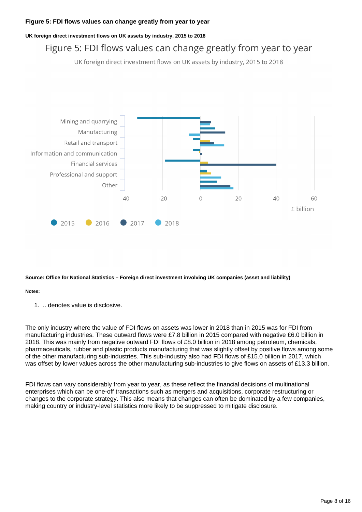#### **Figure 5: FDI flows values can change greatly from year to year**

#### **UK foreign direct investment flows on UK assets by industry, 2015 to 2018**

## Figure 5: FDI flows values can change greatly from year to year

UK foreign direct investment flows on UK assets by industry, 2015 to 2018



#### **Source: Office for National Statistics – Foreign direct investment involving UK companies (asset and liability)**

#### **Notes:**

1. .. denotes value is disclosive.

The only industry where the value of FDI flows on assets was lower in 2018 than in 2015 was for FDI from manufacturing industries. These outward flows were £7.8 billion in 2015 compared with negative £6.0 billion in 2018. This was mainly from negative outward FDI flows of £8.0 billion in 2018 among petroleum, chemicals, pharmaceuticals, rubber and plastic products manufacturing that was slightly offset by positive flows among some of the other manufacturing sub-industries. This sub-industry also had FDI flows of £15.0 billion in 2017, which was offset by lower values across the other manufacturing sub-industries to give flows on assets of £13.3 billion.

FDI flows can vary considerably from year to year, as these reflect the financial decisions of multinational enterprises which can be one-off transactions such as mergers and acquisitions, corporate restructuring or changes to the corporate strategy. This also means that changes can often be dominated by a few companies, making country or industry-level statistics more likely to be suppressed to mitigate disclosure.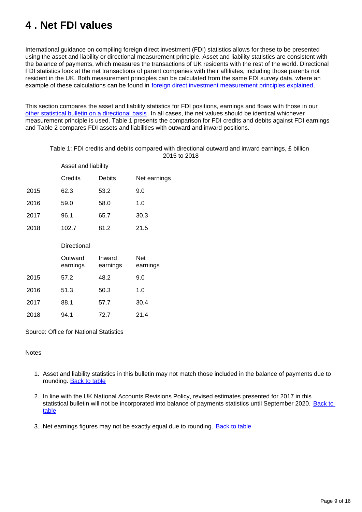## <span id="page-8-0"></span>**4 . Net FDI values**

International guidance on compiling foreign direct investment (FDI) statistics allows for these to be presented using the asset and liability or directional measurement principle. Asset and liability statistics are consistent with the balance of payments, which measures the transactions of UK residents with the rest of the world. Directional FDI statistics look at the net transactions of parent companies with their affiliates, including those parents not resident in the UK. Both measurement principles can be calculated from the same FDI survey data, where an example of these calculations can be found in [foreign direct investment measurement principles explained](https://www.slideshare.net/statisticsONS/foreign-direct-investment-measurement-principles-explained).

This section compares the asset and liability statistics for FDI positions, earnings and flows with those in our [other statistical bulletin on a directional basis](https://www.ons.gov.uk/economy/nationalaccounts/balanceofpayments/bulletins/foreigndirectinvestmentinvolvingukcompanies/2018/relateddata). In all cases, the net values should be identical whichever measurement principle is used. Table 1 presents the comparison for FDI credits and debits against FDI earnings and Table 2 compares FDI assets and liabilities with outward and inward positions.

#### Table 1: FDI credits and debits compared with directional outward and inward earnings, £ billion 2015 to 2018

|      | Asset and liability |                    |                        |
|------|---------------------|--------------------|------------------------|
|      | Credits             | <b>Debits</b>      | Net earnings           |
| 2015 | 62.3                | 53.2               | 9.0                    |
| 2016 | 59.0                | 58.0               | 1.0                    |
| 2017 | 96.1                | 65.7               | 30.3                   |
| 2018 | 102.7               | 81.2               | 21.5                   |
|      | Directional         |                    |                        |
|      |                     |                    |                        |
|      | Outward<br>earnings | Inward<br>earnings | <b>Net</b><br>earnings |
| 2015 | 57.2                | 48.2               | 9.0                    |
| 2016 | 51.3                | 50.3               | 1.0                    |
| 2017 | 88.1                | 57.7               | 30.4                   |

Source: Office for National Statistics

#### **Notes**

- 1. Asset and liability statistics in this bulletin may not match those included in the balance of payments due to rounding. **Back to table**
- 2. In line with the UK National Accounts Revisions Policy, revised estimates presented for 2017 in this statistical bulletin will not be incorporated into balance of payments statistics until September 2020. [Back to](#page-0-0)  [table](#page-0-0)
- 3. Net earnings figures may not be exactly equal due to rounding. **[Back to table](#page-0-0)**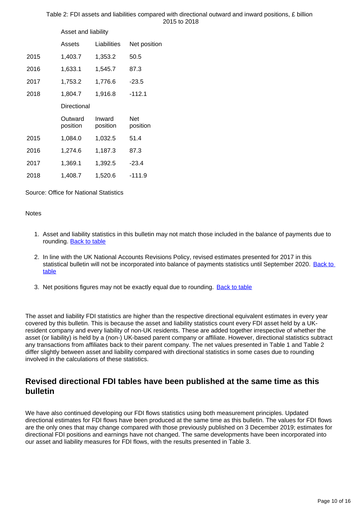|      | Asset and liability |                    |                 |
|------|---------------------|--------------------|-----------------|
|      | Assets              | Liabilities        | Net position    |
| 2015 | 1,403.7             | 1,353.2            | 50.5            |
| 2016 | 1,633.1             | 1,545.7            | 87.3            |
| 2017 | 1,753.2             | 1,776.6            | $-23.5$         |
| 2018 | 1,804.7             | 1,916.8            | $-112.1$        |
|      | Directional         |                    |                 |
|      | Outward<br>position | Inward<br>position | Net<br>position |
| 2015 | 1,084.0             | 1,032.5            | 51.4            |
| 2016 | 1,274.6             | 1,187.3            | 87.3            |
| 2017 | 1,369.1             | 1,392.5            | $-23.4$         |
| 2018 | 1,408.7             | 1,520.6            | $-111.9$        |

#### Table 2: FDI assets and liabilities compared with directional outward and inward positions, £ billion 2015 to 2018

Source: Office for National Statistics

**Notes** 

- 1. Asset and liability statistics in this bulletin may not match those included in the balance of payments due to rounding. [Back to table](#page-0-0)
- 2. In line with the UK National Accounts Revisions Policy, revised estimates presented for 2017 in this statistical bulletin will not be incorporated into balance of payments statistics until September 2020. [Back to](#page-0-0)  [table](#page-0-0)
- 3. Net positions figures may not be exactly equal due to rounding. **[Back to table](#page-0-0)**

The asset and liability FDI statistics are higher than the respective directional equivalent estimates in every year covered by this bulletin. This is because the asset and liability statistics count every FDI asset held by a UKresident company and every liability of non-UK residents. These are added together irrespective of whether the asset (or liability) is held by a (non-) UK-based parent company or affiliate. However, directional statistics subtract any transactions from affiliates back to their parent company. The net values presented in Table 1 and Table 2 differ slightly between asset and liability compared with directional statistics in some cases due to rounding involved in the calculations of these statistics.

### **Revised directional FDI tables have been published at the same time as this bulletin**

We have also continued developing our FDI flows statistics using both measurement principles. Updated directional estimates for FDI flows have been produced at the same time as this bulletin. The values for FDI flows are the only ones that may change compared with those previously published on 3 December 2019; estimates for directional FDI positions and earnings have not changed. The same developments have been incorporated into our asset and liability measures for FDI flows, with the results presented in Table 3.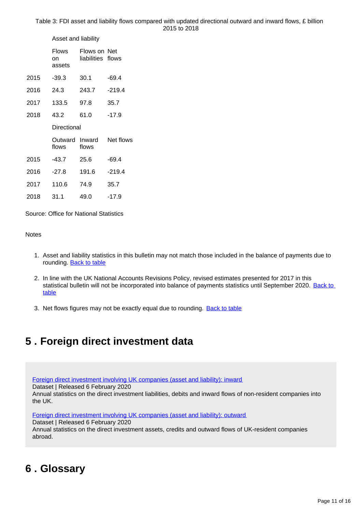Asset and liability

|      | <b>Flows</b><br>on<br>assets | Flows on Net<br>liabilities flows |           |
|------|------------------------------|-----------------------------------|-----------|
| 2015 | -39.3                        | 30.1                              | $-69.4$   |
| 2016 | 24.3                         | 243.7                             | $-219.4$  |
| 2017 | 133.5                        | 97.8                              | 35.7      |
| 2018 | 43.2                         | 61.0                              | $-17.9$   |
|      | Directional                  |                                   |           |
|      |                              |                                   |           |
|      | Outward<br>flows             | Inward<br>flows                   | Net flows |
| 2015 | $-43.7$                      | 25.6                              | $-69.4$   |
| 2016 | $-27.8$                      | 191.6                             | $-219.4$  |
| 2017 | 110.6                        | 74.9                              | 35.7      |

Source: Office for National Statistics

#### **Notes**

- 1. Asset and liability statistics in this bulletin may not match those included in the balance of payments due to rounding. **Back to table**
- 2. In line with the UK National Accounts Revisions Policy, revised estimates presented for 2017 in this statistical bulletin will not be incorporated into balance of payments statistics until September 2020. Back to [table](#page-0-0)
- 3. Net flows figures may not be exactly equal due to rounding. **[Back to table](#page-0-0)**

## <span id="page-10-0"></span>**5 . Foreign direct investment data**

[Foreign direct investment involving UK companies \(asset and liability\): inward](https://www.ons.gov.uk/economy/nationalaccounts/balanceofpayments/datasets/foreigndirectinvestmentinvolvingukcompaniesassetandliabilityinward)

Dataset | Released 6 February 2020

Annual statistics on the direct investment liabilities, debits and inward flows of non-resident companies into the UK.

[Foreign direct investment involving UK companies \(asset and liability\): outward](https://www.ons.gov.uk/economy/nationalaccounts/balanceofpayments/datasets/foreigndirectinvestmentinvolvingukcompaniesassetandliabilityoutward)

Dataset | Released 6 February 2020

Annual statistics on the direct investment assets, credits and outward flows of UK-resident companies abroad.

## <span id="page-10-1"></span>**6 . Glossary**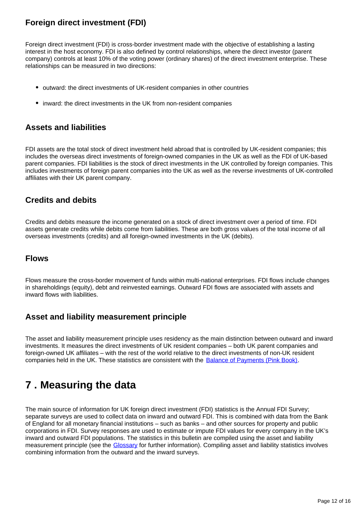## **Foreign direct investment (FDI)**

Foreign direct investment (FDI) is cross-border investment made with the objective of establishing a lasting interest in the host economy. FDI is also defined by control relationships, where the direct investor (parent company) controls at least 10% of the voting power (ordinary shares) of the direct investment enterprise. These relationships can be measured in two directions:

- outward: the direct investments of UK-resident companies in other countries
- inward: the direct investments in the UK from non-resident companies

### **Assets and liabilities**

FDI assets are the total stock of direct investment held abroad that is controlled by UK-resident companies; this includes the overseas direct investments of foreign-owned companies in the UK as well as the FDI of UK-based parent companies. FDI liabilities is the stock of direct investments in the UK controlled by foreign companies. This includes investments of foreign parent companies into the UK as well as the reverse investments of UK-controlled affiliates with their UK parent company.

### **Credits and debits**

Credits and debits measure the income generated on a stock of direct investment over a period of time. FDI assets generate credits while debits come from liabilities. These are both gross values of the total income of all overseas investments (credits) and all foreign-owned investments in the UK (debits).

### **Flows**

Flows measure the cross-border movement of funds within multi-national enterprises. FDI flows include changes in shareholdings (equity), debt and reinvested earnings. Outward FDI flows are associated with assets and inward flows with liabilities.

## **Asset and liability measurement principle**

The asset and liability measurement principle uses residency as the main distinction between outward and inward investments. It measures the direct investments of UK resident companies – both UK parent companies and foreign-owned UK affiliates – with the rest of the world relative to the direct investments of non-UK resident companies held in the UK. These statistics are consistent with the [Balance of Payments \(Pink Book\).](https://www.ons.gov.uk/economy/nationalaccounts/balanceofpayments/bulletins/unitedkingdombalanceofpaymentsthepinkbook/2019)

## <span id="page-11-0"></span>**7 . Measuring the data**

The main source of information for UK foreign direct investment (FDI) statistics is the Annual FDI Survey; separate surveys are used to collect data on inward and outward FDI. This is combined with data from the Bank of England for all monetary financial institutions – such as banks – and other sources for property and public corporations in FDI. Survey responses are used to estimate or impute FDI values for every company in the UK's inward and outward FDI populations. The statistics in this bulletin are compiled using the asset and liability measurement principle (see the [Glossary](https://publishing.ons.gov.uk/economy/nationalaccounts/balanceofpayments/bulletins/foreigndirectinvestmentinvolvingukcompaniesassetandliability/2018#glossary) for further information). Compiling asset and liability statistics involves combining information from the outward and the inward surveys.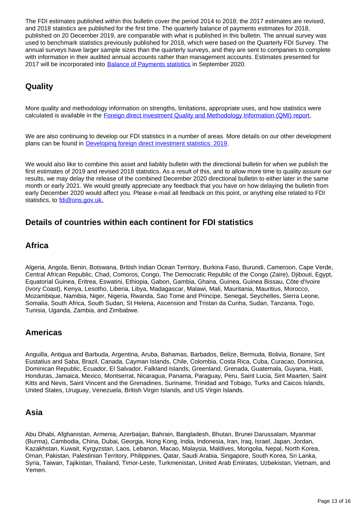The FDI estimates published within this bulletin cover the period 2014 to 2018; the 2017 estimates are revised, and 2018 statistics are published for the first time. The quarterly balance of payments estimates for 2018, published on 20 December 2019, are comparable with what is published in this bulletin. The annual survey was used to benchmark statistics previously published for 2018, which were based on the Quarterly FDI Survey. The annual surveys have larger sample sizes than the quarterly surveys, and they are sent to companies to complete with information in their audited annual accounts rather than management accounts. Estimates presented for 2017 will be incorporated into [Balance of Payments statistics](https://www.ons.gov.uk/economy/nationalaccounts/balanceofpayments/bulletins/unitedkingdombalanceofpaymentsthepinkbook/2019) in September 2020.

## **Quality**

More quality and methodology information on strengths, limitations, appropriate uses, and how statistics were calculated is available in the [Foreign direct investment Quality and Methodology Information \(QMI\) report](https://www.ons.gov.uk/businessindustryandtrade/business/businessinnovation/methodologies/foreigndirectinvestmentfdiqmi).

We are also continuing to develop our FDI statistics in a number of areas. More details on our other development plans can be found in [Developing foreign direct investment statistics: 2019](https://www.ons.gov.uk/businessindustryandtrade/internationaltrade/articles/developingforeigndirectinvestmentstatistics/2019).

We would also like to combine this asset and liability bulletin with the directional bulletin for when we publish the first estimates of 2019 and revised 2018 statistics. As a result of this, and to allow more time to quality assure our results, we may delay the release of the combined December 2020 directional bulletin to either later in the same month or early 2021. We would greatly appreciate any feedback that you have on how delaying the bulletin from early December 2020 would affect you. Please e-mail all feedback on this point, or anything else related to FDI statistics, to [fdi@ons.gov.uk.](http://mailto:fdi@ons.gov.uk)

### **Details of countries within each continent for FDI statistics**

### **Africa**

Algeria, Angola, Benin, Botswana, British Indian Ocean Territory, Burkina Faso, Burundi, Cameroon, Cape Verde, Central African Republic, Chad, Comoros, Congo, The Democratic Republic of the Congo (Zaire), Djibouti, Egypt, Equatorial Guinea, Eritrea, Eswatini, Ethiopia, Gabon, Gambia, Ghana, Guinea, Guinea Bissau, Côte d'Ivoire (Ivory Coast), Kenya, Lesotho, Liberia, Libya, Madagascar, Malawi, Mali, Mauritania, Mauritius, Morocco, Mozambique, Namibia, Niger, Nigeria, Rwanda, Sao Tome and Principe, Senegal, Seychelles, Sierra Leone, Somalia, South Africa, South Sudan, St Helena, Ascension and Tristan da Cunha, Sudan, Tanzania, Togo, Tunisia, Uganda, Zambia, and Zimbabwe.

### **Americas**

Anguilla, Antigua and Barbuda, Argentina, Aruba, Bahamas, Barbados, Belize, Bermuda, Bolivia, Bonaire, Sint Eustatius and Saba, Brazil, Canada, Cayman Islands, Chile, Colombia, Costa Rica, Cuba, Curacao, Dominica, Dominican Republic, Ecuador, El Salvador, Falkland Islands, Greenland, Grenada, Guatemala, Guyana, Haiti, Honduras, Jamaica, Mexico, Montserrat, Nicaragua, Panama, Paraguay, Peru, Saint Lucia, Sint Maarten, Saint Kitts and Nevis, Saint Vincent and the Grenadines, Suriname, Trinidad and Tobago, Turks and Caicos Islands, United States, Uruguay, Venezuela, British Virgin Islands, and US Virgin Islands.

### **Asia**

Abu Dhabi, Afghanistan, Armenia, Azerbaijan, Bahrain, Bangladesh, Bhutan, Brunei Darussalam, Myanmar (Burma), Cambodia, China, Dubai, Georgia, Hong Kong, India, Indonesia, Iran, Iraq, Israel, Japan, Jordan, Kazakhstan, Kuwait, Kyrgyzstan, Laos, Lebanon, Macao, Malaysia, Maldives, Mongolia, Nepal, North Korea, Oman, Pakistan, Palestinian Territory, Philippines, Qatar, Saudi Arabia, Singapore, South Korea, Sri Lanka, Syria, Taiwan, Tajikistan, Thailand, Timor-Leste, Turkmenistan, United Arab Emirates, Uzbekistan, Vietnam, and Yemen.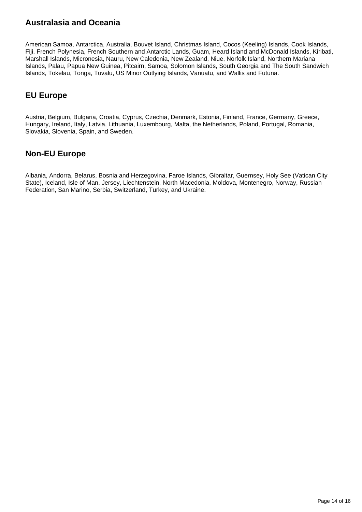## **Australasia and Oceania**

American Samoa, Antarctica, Australia, Bouvet Island, Christmas Island, Cocos (Keeling) Islands, Cook Islands, Fiji, French Polynesia, French Southern and Antarctic Lands, Guam, Heard Island and McDonald Islands, Kiribati, Marshall Islands, Micronesia, Nauru, New Caledonia, New Zealand, Niue, Norfolk Island, Northern Mariana Islands, Palau, Papua New Guinea, Pitcairn, Samoa, Solomon Islands, South Georgia and The South Sandwich Islands, Tokelau, Tonga, Tuvalu, US Minor Outlying Islands, Vanuatu, and Wallis and Futuna.

## **EU Europe**

Austria, Belgium, Bulgaria, Croatia, Cyprus, Czechia, Denmark, Estonia, Finland, France, Germany, Greece, Hungary, Ireland, Italy, Latvia, Lithuania, Luxembourg, Malta, the Netherlands, Poland, Portugal, Romania, Slovakia, Slovenia, Spain, and Sweden.

## **Non-EU Europe**

Albania, Andorra, Belarus, Bosnia and Herzegovina, Faroe Islands, Gibraltar, Guernsey, Holy See (Vatican City State), Iceland, Isle of Man, Jersey, Liechtenstein, North Macedonia, Moldova, Montenegro, Norway, Russian Federation, San Marino, Serbia, Switzerland, Turkey, and Ukraine.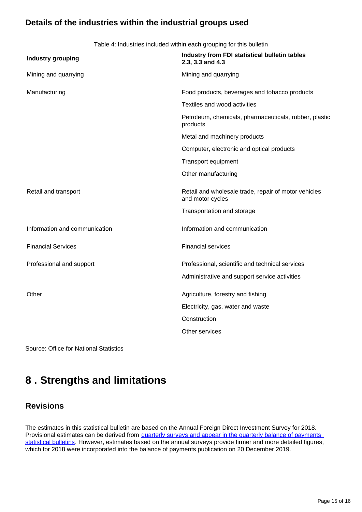## **Details of the industries within the industrial groups used**

Table 4: Industries included within each grouping for this bulletin

| <b>Industry grouping</b>      | Industry from FDI statistical bulletin tables<br>2.3, 3.3 and 4.3        |
|-------------------------------|--------------------------------------------------------------------------|
| Mining and quarrying          | Mining and quarrying                                                     |
| Manufacturing                 | Food products, beverages and tobacco products                            |
|                               | Textiles and wood activities                                             |
|                               | Petroleum, chemicals, pharmaceuticals, rubber, plastic<br>products       |
|                               | Metal and machinery products                                             |
|                               | Computer, electronic and optical products                                |
|                               | Transport equipment                                                      |
|                               | Other manufacturing                                                      |
| Retail and transport          | Retail and wholesale trade, repair of motor vehicles<br>and motor cycles |
|                               | Transportation and storage                                               |
| Information and communication | Information and communication                                            |
| <b>Financial Services</b>     | <b>Financial services</b>                                                |
| Professional and support      | Professional, scientific and technical services                          |
|                               | Administrative and support service activities                            |
| Other                         | Agriculture, forestry and fishing                                        |
|                               | Electricity, gas, water and waste                                        |
|                               | Construction                                                             |
|                               | Other services                                                           |

Source: Office for National Statistics

## <span id="page-14-0"></span>**8 . Strengths and limitations**

### **Revisions**

The estimates in this statistical bulletin are based on the Annual Foreign Direct Investment Survey for 2018. Provisional estimates can be derived from quarterly surveys and appear in the quarterly balance of payments [statistical bulletins](https://www.ons.gov.uk/economy/nationalaccounts/balanceofpayments/bulletins/balanceofpayments/previousReleases). However, estimates based on the annual surveys provide firmer and more detailed figures, which for 2018 were incorporated into the balance of payments publication on 20 December 2019.